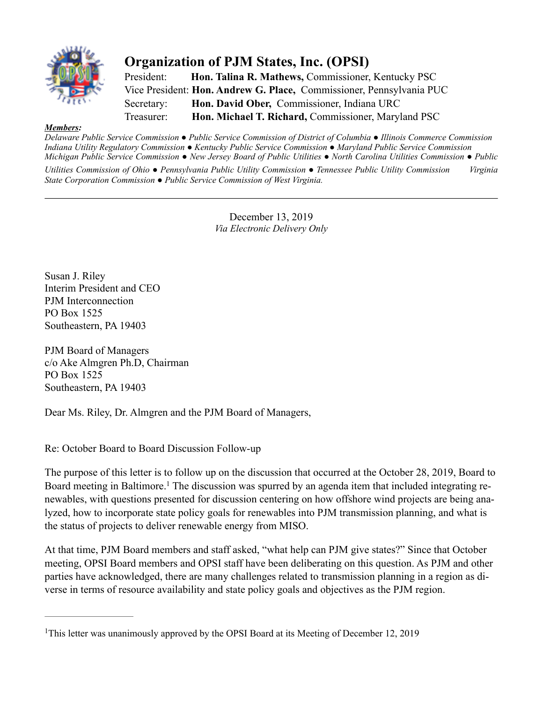

## **Organization of PJM States, Inc. (OPSI)**

President: **Hon. Talina R. Mathews,** Commissioner, Kentucky PSC Vice President: **Hon. Andrew G. Place,** Commissioner, Pennsylvania PUC Secretary: **Hon. David Ober,** Commissioner, Indiana URC Treasurer: **Hon. Michael T. Richard,** Commissioner, Maryland PSC

## *Members:*

*Delaware Public Service Commission ● Public Service Commission of District of Columbia ● Illinois Commerce Commission Indiana Utility Regulatory Commission ● Kentucky Public Service Commission ● Maryland Public Service Commission Michigan Public Service Commission ● New Jersey Board of Public Utilities ● North Carolina Utilities Commission ● Public Utilities Commission of Ohio ● Pennsylvania Public Utility Commission ● Tennessee Public Utility Commission Virginia State Corporation Commission ● Public Service Commission of West Virginia.*

> December 13, 2019 *Via Electronic Delivery Only*

Susan J. Riley Interim President and CEO PJM Interconnection PO Box 1525 Southeastern, PA 19403

PJM Board of Managers c/o Ake Almgren Ph.D, Chairman PO Box 1525 Southeastern, PA 19403

Dear Ms. Riley, Dr. Almgren and the PJM Board of Managers,

Re: October Board to Board Discussion Follow-up

The purpose of this letter is to follow up on the discussion that occurred at the October 28, 2019, Board to Board meeting in Baltimore.<sup>1</sup> The discussion was spurred by an agenda item that included integrating renewables, with questions presented for discussion centering on how offshore wind projects are being analyzed, how to incorporate state policy goals for renewables into PJM transmission planning, and what is the status of projects to deliver renewable energy from MISO.

At that time, PJM Board members and staff asked, "what help can PJM give states?" Since that October meeting, OPSI Board members and OPSI staff have been deliberating on this question. As PJM and other parties have acknowledged, there are many challenges related to transmission planning in a region as diverse in terms of resource availability and state policy goals and objectives as the PJM region.

<sup>&</sup>lt;sup>1</sup>This letter was unanimously approved by the OPSI Board at its Meeting of December 12, 2019